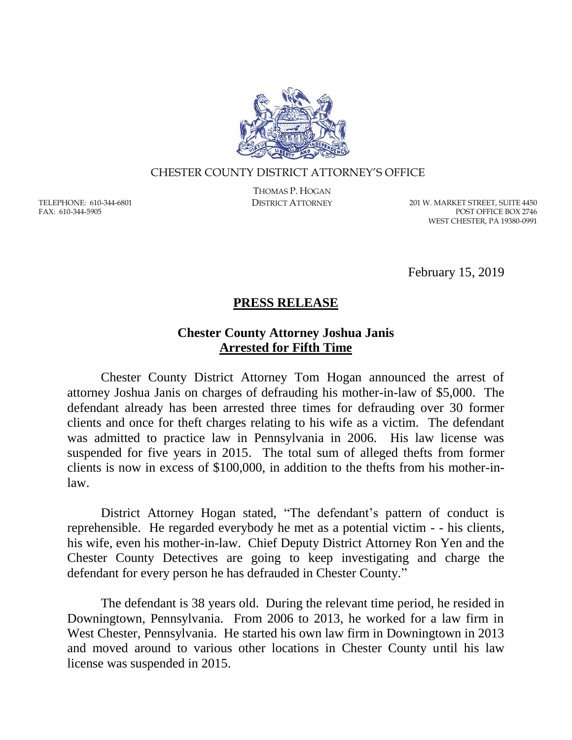

## CHESTER COUNTY DISTRICT ATTORNEY'S OFFICE

TELEPHONE: 610-344-6801 FAX: 610-344-5905

THOMAS P. HOGAN

DISTRICT ATTORNEY 201 W. MARKET STREET, SUITE 4450 POST OFFICE BOX 2746 WEST CHESTER, PA 19380-0991

February 15, 2019

## **PRESS RELEASE**

## **Chester County Attorney Joshua Janis Arrested for Fifth Time**

Chester County District Attorney Tom Hogan announced the arrest of attorney Joshua Janis on charges of defrauding his mother-in-law of \$5,000. The defendant already has been arrested three times for defrauding over 30 former clients and once for theft charges relating to his wife as a victim. The defendant was admitted to practice law in Pennsylvania in 2006. His law license was suspended for five years in 2015. The total sum of alleged thefts from former clients is now in excess of \$100,000, in addition to the thefts from his mother-inlaw.

District Attorney Hogan stated, "The defendant's pattern of conduct is reprehensible. He regarded everybody he met as a potential victim - - his clients, his wife, even his mother-in-law. Chief Deputy District Attorney Ron Yen and the Chester County Detectives are going to keep investigating and charge the defendant for every person he has defrauded in Chester County."

The defendant is 38 years old. During the relevant time period, he resided in Downingtown, Pennsylvania. From 2006 to 2013, he worked for a law firm in West Chester, Pennsylvania. He started his own law firm in Downingtown in 2013 and moved around to various other locations in Chester County until his law license was suspended in 2015.